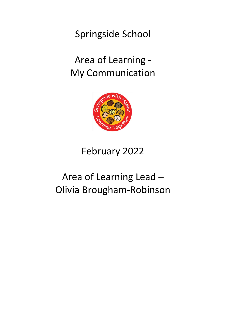Springside School

# Area of Learning - My Communication



# February 2022

# Area of Learning Lead – Olivia Brougham-Robinson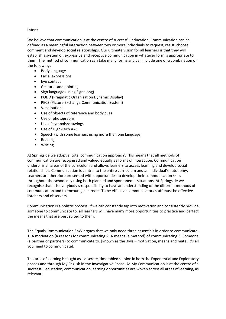### **Intent**

We believe that communication is at the centre of successful education. Communication can be defined as a meaningful interaction between two or more individuals to request, resist, choose, comment and develop social relationships. Our ultimate vision for all learners is that they will establish a system of, expressive and receptive communication in whatever form is appropriate to them. The method of communication can take many forms and can include one or a combination of the following:

- Body language
- Facial expressions
- Eye contact
- Gestures and pointing
- Sign language (using Signalong)
- PODD (Pragmatic Organisation Dynamic Display)
- PECS (Picture Exchange Communication System)
- Vocalisations
- Use of objects of reference and body cues
- Use of photographs
- Use of symbols/drawings
- Use of High-Tech AAC
- Speech (with some learners using more than one language)
- Reading
- Writing

At Springside we adopt a 'total communication approach'. This means that all methods of communication are recognised and valued equally as forms of interaction. Communication underpins all areas of the curriculum and allows learners to access learning and develop social relationships. Communication is central to the entire curriculum and an individual's autonomy. Learners are therefore presented with opportunities to develop their communication skills throughout the school day using both planned and spontaneous situations. At Springside we recognise that it is everybody's responsibility to have an understanding of the different methods of communication and to encourage learners. To be effective communicators staff must be effective listeners and observers.

Communication is a holistic process; if we can constantly tap into motivation and consistently provide someone to communicate to, all learners will have many more opportunities to practice and perfect the means that are best suited to them.

The Equals Communication SoW argues that we only need three essentials in order to communicate: 1. A motivation (a reason) for communicating 2. A means (a method) of communicating 3. Someone (a partner or partners) to communicate to. [known as the 3Ms – motivation, means and mate: It's all you need to communicate].

This area of learning is taught as a discrete, timetabled session in both the Experiential and Exploratory phases and through My English in the Investigative Phase. As My Communication is at the centre of a successful education, communication learning opportunities are woven across all areas of learning, as relevant.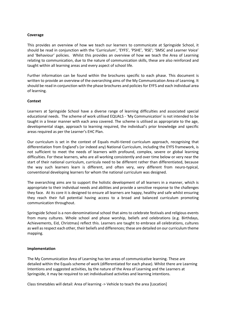#### **Coverage**

This provides an overview of how we teach our learners to communicate at Springside School, it should be read in conjunction with the 'Curriculum', 'EYFS', 'PSHE', 'RSE'; 'SMSC and Learner Voice' and 'Behaviour' policies. Whilst this provides an overview of how we teach the Area of Learning relating to communication, due to the nature of communication skills, these are also reinforced and taught within all learning areas and every aspect of school life.

Further information can be found within the brochures specific to each phase. This document is written to provide an overview of the overarching aims of the My Communication Area of Learning. It should be read in conjunction with the phase brochures and policies for EYFS and each individual area of learning.

#### **Context**

Learners at Springside School have a diverse range of learning difficulties and associated special educational needs. The scheme of work utilised EQUALS - 'My Communication' is not intended to be taught in a linear manner with each area covered. The scheme is utilised as appropriate to the age, developmental stage, approach to learning required, the individual's prior knowledge and specific areas required as per the Learner's EHC Plan.

Our curriculum is set in the context of Equals multi-tiered curriculum approach, recognising that differentiation from England's (or indeed any) National Curriculum, including the EYFS framework, is not sufficient to meet the needs of learners with profound, complex, severe or global learning difficulties. For these learners, who are all working consistently and over time below or very near the start of their national curriculum, curricula need to be different rather than differentiated, because the way such learners learn is different, and often very, very different from neuro-typical, conventional developing learners for whom the national curriculum was designed.

The overarching aims are to support the holistic development of all learners in a manner, which is appropriate to their individual needs and abilities and provide a sensitive response to the challenges they face. At its core it is designed to ensure all learners are happy, healthy and safe whilst ensuring they reach their full potential having access to a broad and balanced curriculum promoting communication throughout.

Springside School is a non-denominational school that aims to celebrate festivals and religious events from many cultures. Whole school and phase worship, beliefs and celebrations (e.g. Birthdays, Achievements, Eid, Christmas) reflect this. Learners are taught to embrace all celebrations, cultures as well as respect each other, their beliefs and differences; these are detailed on our curriculum theme mapping.

### **Implementation**

The My Communication Area of Learning has ten areas of communicative learning. These are detailed within the Equals scheme of work (differentiated for each phase). Whilst there are Learning Intentions and suggested activities, by the nature of the Area of Learning and the Learners at Springside, it may be required to set individualised activities and learning intentions.

Class timetables will detail: Area of learning -> Vehicle to teach the area [Location]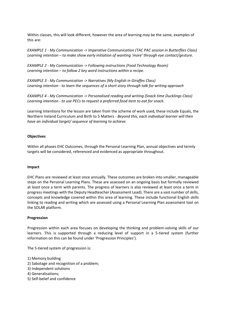Within classes, this will look different, however the area of learning may be the same, examples of this are:

*EXAMPLE 1 - My Communication -> Imperative Communication (TAC PAC session in Butterflies Class) Learning intention – to make show early initiation of wanting 'more' through eye contact/gesture.*

*EXAMPLE 2 - My Communication -> Following instructions (Food Technology Room) Learning intention – to follow 2 key word instructions within a recipe.*

*EXAMPLE 3 - My Communication -> Narratives (My English in Giraffes Class) Learning intention - to learn the sequences of a short story through talk for writing approach*

*EXAMPLE 4 - My Communication -> Personalised reading and writing (Snack time Ducklings Class) Learning intention - to use PECs to request a preferred food item to eat for snack.* 

Learning Intentions for the lesson are taken from the scheme of work used, these include Equals, the Northern Ireland Curriculum and Birth to 5 Matters - *Beyond this, each individual learner will then have an individual target/ sequence of learning to achieve.*

## **Objectives**

Within all phases EHC Outcomes, through the Personal Learning Plan, annual objectives and termly targets will be considered, referenced and evidenced as appropriate throughout.

### **Impact**

EHC Plans are reviewed at least once annually. These outcomes are broken into smaller, manageable steps on the Personal Learning Plans. These are assessed on an ongoing basis but formally reviewed at least once a term with parents. The progress of learners is also reviewed at least once a term in progress meetings with the Deputy Headteacher (Assessment Lead). There are a vast number of skills, concepts and knowledge covered within this area of learning. These include functional English skills linking to reading and writing which are assessed using a Personal Learning Plan assessment tool on the SOLAR platform.

#### **Progression**

Progression within each area focuses on developing the thinking and problem-solving skills of our learners. This is supported through a reducing level of support in a 5-tiered system (further information on this can be found under 'Progression Principles').

The 5-tiered system of progression is:

- 1) Memory building
- 2) Sabotage and recognition of a problem;
- 3) Independent solutions
- 4) Generalisations;
- 5) Self-belief and confidence